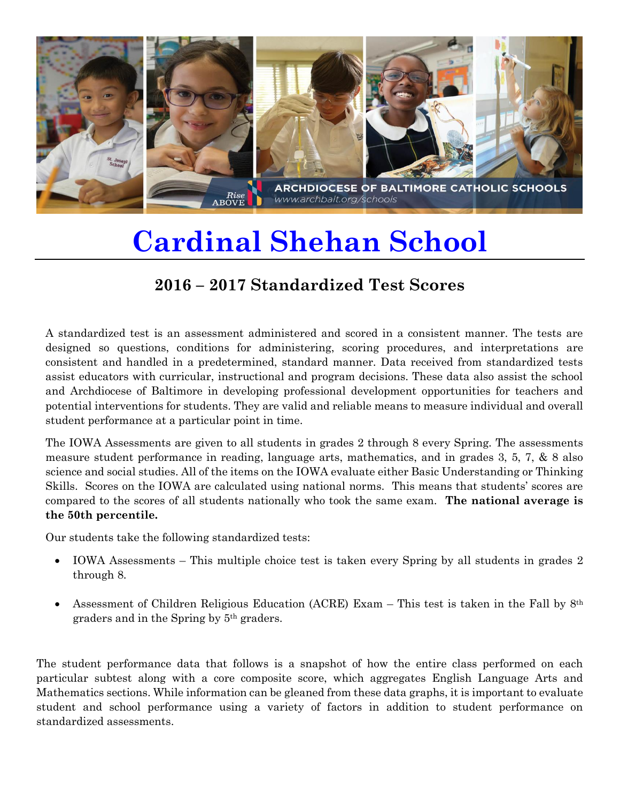

## **Cardinal Shehan School**

## **2016 – 2017 Standardized Test Scores**

A standardized test is an assessment administered and scored in a consistent manner. The tests are designed so questions, conditions for administering, scoring procedures, and interpretations are consistent and handled in a predetermined, standard manner. Data received from standardized tests assist educators with curricular, instructional and program decisions. These data also assist the school and Archdiocese of Baltimore in developing professional development opportunities for teachers and potential interventions for students. They are valid and reliable means to measure individual and overall student performance at a particular point in time.

The IOWA Assessments are given to all students in grades 2 through 8 every Spring. The assessments measure student performance in reading, language arts, mathematics, and in grades 3, 5, 7, & 8 also science and social studies. All of the items on the IOWA evaluate either Basic Understanding or Thinking Skills. Scores on the IOWA are calculated using national norms. This means that students' scores are compared to the scores of all students nationally who took the same exam. **The national average is the 50th percentile.**

Our students take the following standardized tests:

- IOWA Assessments This multiple choice test is taken every Spring by all students in grades 2 through 8.
- Assessment of Children Religious Education (ACRE) Exam This test is taken in the Fall by  $8<sup>th</sup>$ graders and in the Spring by 5th graders.

The student performance data that follows is a snapshot of how the entire class performed on each particular subtest along with a core composite score, which aggregates English Language Arts and Mathematics sections. While information can be gleaned from these data graphs, it is important to evaluate student and school performance using a variety of factors in addition to student performance on standardized assessments.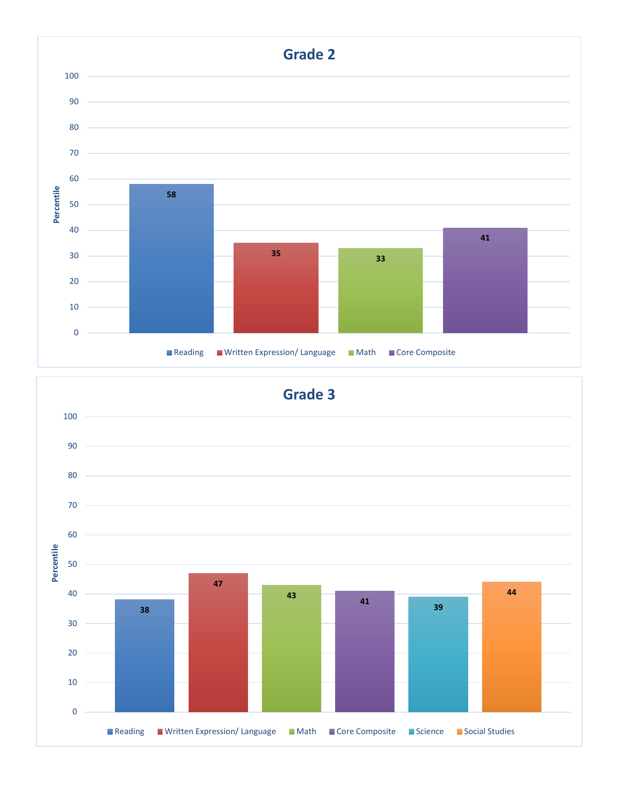

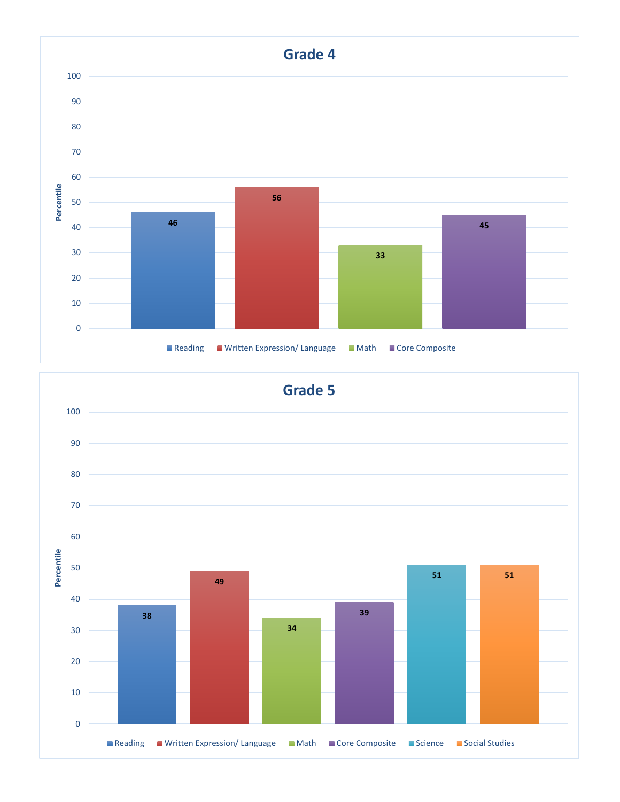

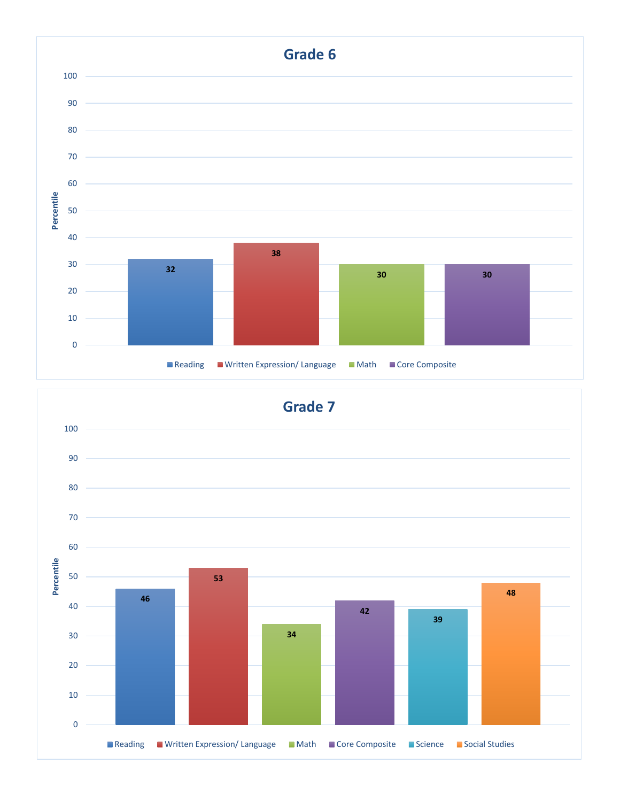

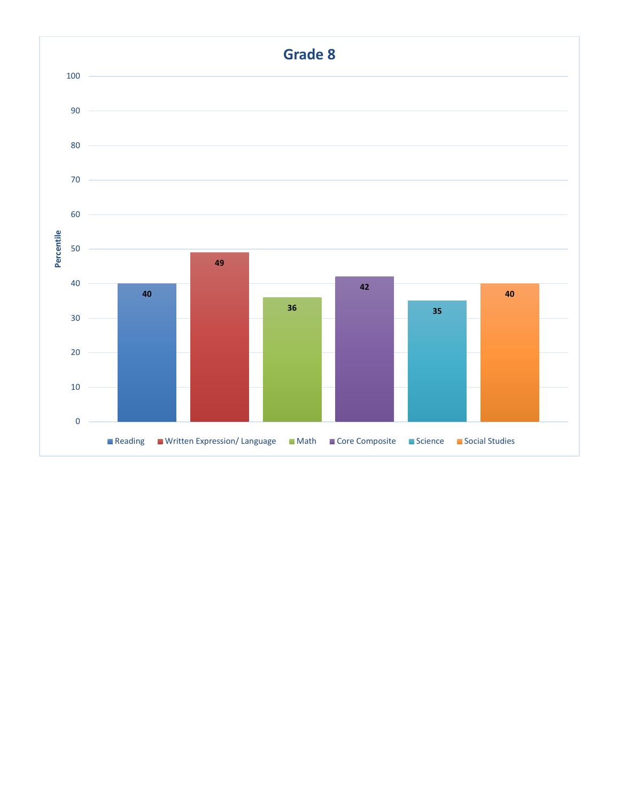